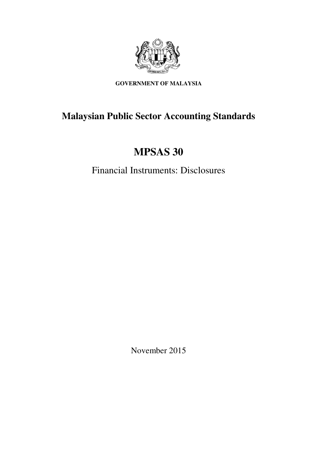

**GOVERNMENT OF MALAYSIA** 

# **Malaysian Public Sector Accounting Standards**

# **MPSAS 30**

Financial Instruments: Disclosures

November 2015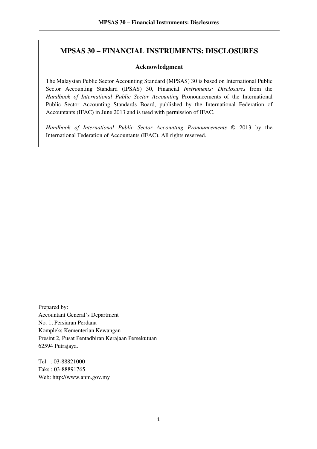# **MPSAS 30 – FINANCIAL INSTRUMENTS: DISCLOSURES**

## **Acknowledgment**

The Malaysian Public Sector Accounting Standard (MPSAS) 30 is based on International Public Sector Accounting Standard (IPSAS) 30, Financial *Instruments: Disclosures* from the *Handbook of International Public Sector Accounting* Pronouncements of the International Public Sector Accounting Standards Board, published by the International Federation of Accountants (IFAC) in June 2013 and is used with permission of IFAC.

*Handbook of International Public Sector Accounting Pronouncements* © 2013 by the International Federation of Accountants (IFAC). All rights reserved.

Prepared by: Accountant General's Department No. 1, Persiaran Perdana Kompleks Kementerian Kewangan Presint 2, Pusat Pentadbiran Kerajaan Persekutuan 62594 Putrajaya.

Tel : 03-88821000 Faks : 03-88891765 Web: http://www.anm.gov.my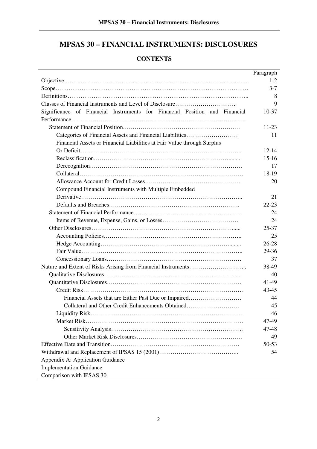# **MPSAS 30 – FINANCIAL INSTRUMENTS: DISCLOSURES**

# **CONTENTS**

|                                                                            | Paragraph |
|----------------------------------------------------------------------------|-----------|
|                                                                            | $1-2$     |
|                                                                            | $3 - 7$   |
|                                                                            | 8         |
|                                                                            | 9         |
| Significance of Financial Instruments for Financial Position and Financial | 10-37     |
|                                                                            | $11 - 23$ |
|                                                                            | 11        |
| Financial Assets or Financial Liabilities at Fair Value through Surplus    |           |
|                                                                            | $12 - 14$ |
|                                                                            | $15-16$   |
|                                                                            | 17        |
|                                                                            | 18-19     |
|                                                                            | 20        |
|                                                                            |           |
| Compound Financial Instruments with Multiple Embedded                      |           |
|                                                                            | 21        |
|                                                                            | $22 - 23$ |
|                                                                            | 24        |
|                                                                            | 24        |
|                                                                            | 25-37     |
|                                                                            | 25        |
|                                                                            | $26 - 28$ |
|                                                                            | 29-36     |
|                                                                            | 37        |
|                                                                            | 38-49     |
|                                                                            | 40        |
|                                                                            | 41-49     |
|                                                                            | 43-45     |
| Financial Assets that are Either Past Due or Impaired                      | 44        |
| Collateral and Other Credit Enhancements Obtained                          | 45        |
|                                                                            | 46        |
|                                                                            | 47-49     |
|                                                                            | 47-48     |
|                                                                            | 49        |
|                                                                            | 50-53     |
|                                                                            | 54        |
| Appendix A: Application Guidance                                           |           |
| <b>Implementation Guidance</b>                                             |           |
| Comparison with IPSAS 30                                                   |           |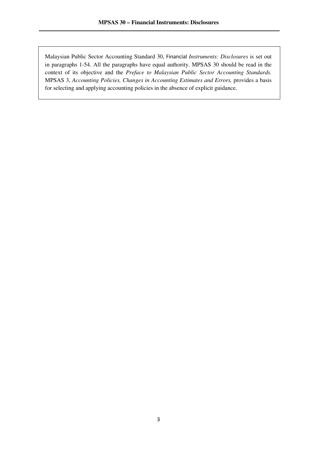Malaysian Public Sector Accounting Standard 30, Financial *Instruments: Disclosures* is set out in paragraphs 1-54. All the paragraphs have equal authority. MPSAS 30 should be read in the context of its objective and the *Preface to Malaysian Public Sector Accounting Standards.* MPSAS 3, *Accounting Policies, Changes in Accounting Estimates and Errors,* provides a basis for selecting and applying accounting policies in the absence of explicit guidance.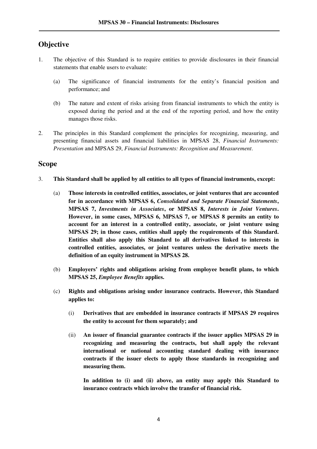# **Objective**

- 1. The objective of this Standard is to require entities to provide disclosures in their financial statements that enable users to evaluate:
	- (a) The significance of financial instruments for the entity's financial position and performance; and
	- (b) The nature and extent of risks arising from financial instruments to which the entity is exposed during the period and at the end of the reporting period, and how the entity manages those risks.
- 2. The principles in this Standard complement the principles for recognizing, measuring, and presenting financial assets and financial liabilities in MPSAS 28, *Financial Instruments: Presentation* and MPSAS 29, *Financial Instruments: Recognition and Measurement*.

# **Scope**

- 3. **This Standard shall be applied by all entities to all types of financial instruments, except:** 
	- (a) **Those interests in controlled entities, associates, or joint ventures that are accounted for in accordance with MPSAS 6,** *Consolidated and Separate Financial Statements***, MPSAS 7,** *Investments in Associates***, or MPSAS 8,** *Interests in Joint Ventures***. However, in some cases, MPSAS 6, MPSAS 7, or MPSAS 8 permits an entity to account for an interest in a controlled entity, associate, or joint venture using MPSAS 29; in those cases, entities shall apply the requirements of this Standard. Entities shall also apply this Standard to all derivatives linked to interests in controlled entities, associates, or joint ventures unless the derivative meets the definition of an equity instrument in MPSAS 28.**
	- (b) **Employers' rights and obligations arising from employee benefit plans, to which MPSAS 25,** *Employee Benefits* **applies.**
	- (c) **Rights and obligations arising under insurance contracts. However, this Standard applies to:** 
		- (i) **Derivatives that are embedded in insurance contracts if MPSAS 29 requires the entity to account for them separately; and**
		- (ii) **An issuer of financial guarantee contracts if the issuer applies MPSAS 29 in recognizing and measuring the contracts, but shall apply the relevant international or national accounting standard dealing with insurance contracts if the issuer elects to apply those standards in recognizing and measuring them.**

**In addition to (i) and (ii) above, an entity may apply this Standard to insurance contracts which involve the transfer of financial risk.**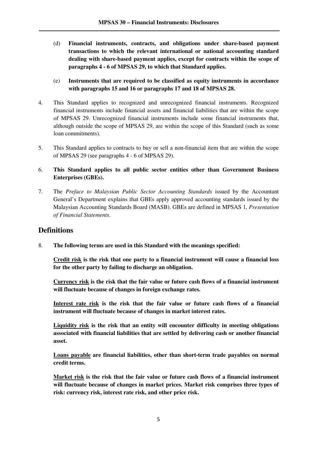- (d) **Financial instruments, contracts, and obligations under share-based payment transactions to which the relevant international or national accounting standard dealing with share-based payment applies, except for contracts within the scope of paragraphs 4 - 6 of MPSAS 29, to which that Standard applies.**
- (e) **Instruments that are required to be classified as equity instruments in accordance with paragraphs 15 and 16 or paragraphs 17 and 18 of MPSAS 28.**
- 4. This Standard applies to recognized and unrecognized financial instruments. Recognized financial instruments include financial assets and financial liabilities that are within the scope of MPSAS 29. Unrecognized financial instruments include some financial instruments that, although outside the scope of MPSAS 29, are within the scope of this Standard (such as some loan commitments).
- 5. This Standard applies to contracts to buy or sell a non-financial item that are within the scope of MPSAS 29 (see paragraphs 4 - 6 of MPSAS 29).
- 6. **This Standard applies to all public sector entities other than Government Business Enterprises (GBEs).**
- 7. The *Preface to Malaysian Public Sector Accounting Standards* issued by the Accountant General's Department explains that GBEs apply approved accounting standards issued by the Malaysian Accounting Standards Board (MASB). GBEs are defined in MPSAS 1, *Presentation of Financial Statements*.

# **Definitions**

8. **The following terms are used in this Standard with the meanings specified:** 

**Credit risk is the risk that one party to a financial instrument will cause a financial loss for the other party by failing to discharge an obligation.** 

**Currency risk is the risk that the fair value or future cash flows of a financial instrument will fluctuate because of changes in foreign exchange rates.** 

**Interest rate risk is the risk that the fair value or future cash flows of a financial instrument will fluctuate because of changes in market interest rates.** 

**Liquidity risk is the risk that an entity will encounter difficulty in meeting obligations associated with financial liabilities that are settled by delivering cash or another financial asset.** 

**Loans payable are financial liabilities, other than short-term trade payables on normal credit terms.** 

**Market risk is the risk that the fair value or future cash flows of a financial instrument will fluctuate because of changes in market prices. Market risk comprises three types of risk: currency risk, interest rate risk, and other price risk.**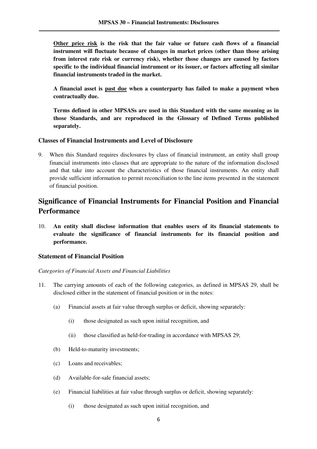**Other price risk is the risk that the fair value or future cash flows of a financial instrument will fluctuate because of changes in market prices (other than those arising from interest rate risk or currency risk), whether those changes are caused by factors specific to the individual financial instrument or its issuer, or factors affecting all similar financial instruments traded in the market.** 

**A financial asset is past due when a counterparty has failed to make a payment when contractually due.** 

**Terms defined in other MPSASs are used in this Standard with the same meaning as in those Standards, and are reproduced in the Glossary of Defined Terms published separately.** 

### **Classes of Financial Instruments and Level of Disclosure**

9. When this Standard requires disclosures by class of financial instrument, an entity shall group financial instruments into classes that are appropriate to the nature of the information disclosed and that take into account the characteristics of those financial instruments. An entity shall provide sufficient information to permit reconciliation to the line items presented in the statement of financial position.

# **Significance of Financial Instruments for Financial Position and Financial Performance**

10. **An entity shall disclose information that enables users of its financial statements to evaluate the significance of financial instruments for its financial position and performance.**

### **Statement of Financial Position**

### *Categories of Financial Assets and Financial Liabilities*

- 11. The carrying amounts of each of the following categories, as defined in MPSAS 29, shall be disclosed either in the statement of financial position or in the notes:
	- (a) Financial assets at fair value through surplus or deficit, showing separately:
		- (i) those designated as such upon initial recognition, and
		- (ii) those classified as held-for-trading in accordance with MPSAS 29;
	- (b) Held-to-maturity investments;
	- (c) Loans and receivables;
	- (d) Available-for-sale financial assets;
	- (e) Financial liabilities at fair value through surplus or deficit, showing separately:
		- (i) those designated as such upon initial recognition, and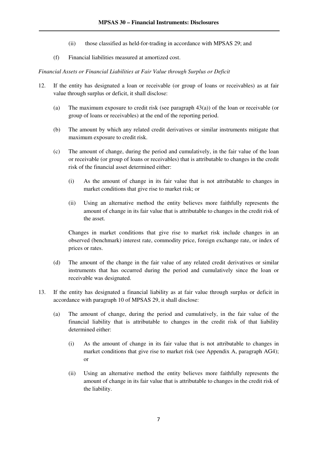- (ii) those classified as held-for-trading in accordance with MPSAS 29; and
- (f) Financial liabilities measured at amortized cost.

*Financial Assets or Financial Liabilities at Fair Value through Surplus or Deficit* 

- 12. If the entity has designated a loan or receivable (or group of loans or receivables) as at fair value through surplus or deficit, it shall disclose:
	- (a) The maximum exposure to credit risk (see paragraph 43(a)) of the loan or receivable (or group of loans or receivables) at the end of the reporting period.
	- (b) The amount by which any related credit derivatives or similar instruments mitigate that maximum exposure to credit risk.
	- (c) The amount of change, during the period and cumulatively, in the fair value of the loan or receivable (or group of loans or receivables) that is attributable to changes in the credit risk of the financial asset determined either:
		- (i) As the amount of change in its fair value that is not attributable to changes in market conditions that give rise to market risk; or
		- (ii) Using an alternative method the entity believes more faithfully represents the amount of change in its fair value that is attributable to changes in the credit risk of the asset.

Changes in market conditions that give rise to market risk include changes in an observed (benchmark) interest rate, commodity price, foreign exchange rate, or index of prices or rates.

- (d) The amount of the change in the fair value of any related credit derivatives or similar instruments that has occurred during the period and cumulatively since the loan or receivable was designated.
- 13. If the entity has designated a financial liability as at fair value through surplus or deficit in accordance with paragraph 10 of MPSAS 29, it shall disclose:
	- (a) The amount of change, during the period and cumulatively, in the fair value of the financial liability that is attributable to changes in the credit risk of that liability determined either:
		- (i) As the amount of change in its fair value that is not attributable to changes in market conditions that give rise to market risk (see Appendix A, paragraph AG4); or
		- (ii) Using an alternative method the entity believes more faithfully represents the amount of change in its fair value that is attributable to changes in the credit risk of the liability.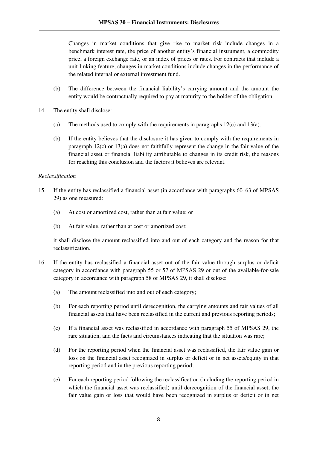Changes in market conditions that give rise to market risk include changes in a benchmark interest rate, the price of another entity's financial instrument, a commodity price, a foreign exchange rate, or an index of prices or rates. For contracts that include a unit-linking feature, changes in market conditions include changes in the performance of the related internal or external investment fund.

- (b) The difference between the financial liability's carrying amount and the amount the entity would be contractually required to pay at maturity to the holder of the obligation.
- 14. The entity shall disclose:
	- (a) The methods used to comply with the requirements in paragraphs  $12(c)$  and  $13(a)$ .
	- (b) If the entity believes that the disclosure it has given to comply with the requirements in paragraph 12(c) or 13(a) does not faithfully represent the change in the fair value of the financial asset or financial liability attributable to changes in its credit risk, the reasons for reaching this conclusion and the factors it believes are relevant.

### *Reclassification*

- 15. If the entity has reclassified a financial asset (in accordance with paragraphs 60–63 of MPSAS 29) as one measured:
	- (a) At cost or amortized cost, rather than at fair value; or
	- (b) At fair value, rather than at cost or amortized cost;

it shall disclose the amount reclassified into and out of each category and the reason for that reclassification.

- 16. If the entity has reclassified a financial asset out of the fair value through surplus or deficit category in accordance with paragraph 55 or 57 of MPSAS 29 or out of the available-for-sale category in accordance with paragraph 58 of MPSAS 29, it shall disclose:
	- (a) The amount reclassified into and out of each category;
	- (b) For each reporting period until derecognition, the carrying amounts and fair values of all financial assets that have been reclassified in the current and previous reporting periods;
	- (c) If a financial asset was reclassified in accordance with paragraph 55 of MPSAS 29, the rare situation, and the facts and circumstances indicating that the situation was rare;
	- (d) For the reporting period when the financial asset was reclassified, the fair value gain or loss on the financial asset recognized in surplus or deficit or in net assets/equity in that reporting period and in the previous reporting period;
	- (e) For each reporting period following the reclassification (including the reporting period in which the financial asset was reclassified) until derecognition of the financial asset, the fair value gain or loss that would have been recognized in surplus or deficit or in net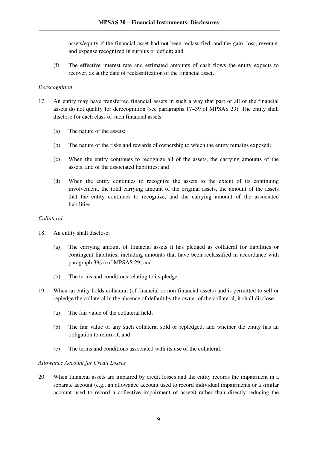assets/equity if the financial asset had not been reclassified, and the gain, loss, revenue, and expense recognized in surplus or deficit; and

(f) The effective interest rate and estimated amounts of cash flows the entity expects to recover, as at the date of reclassification of the financial asset.

### *Derecognition*

- 17. An entity may have transferred financial assets in such a way that part or all of the financial assets do not qualify for derecognition (see paragraphs 17–39 of MPSAS 29). The entity shall disclose for each class of such financial assets:
	- (a) The nature of the assets;
	- (b) The nature of the risks and rewards of ownership to which the entity remains exposed;
	- (c) When the entity continues to recognize all of the assets, the carrying amounts of the assets, and of the associated liabilities; and
	- (d) When the entity continues to recognize the assets to the extent of its continuing involvement, the total carrying amount of the original assets, the amount of the assets that the entity continues to recognize, and the carrying amount of the associated liabilities.

### *Collateral*

- 18. An entity shall disclose:
	- (a) The carrying amount of financial assets it has pledged as collateral for liabilities or contingent liabilities, including amounts that have been reclassified in accordance with paragraph 39(a) of MPSAS 29; and
	- (b) The terms and conditions relating to its pledge.
- 19. When an entity holds collateral (of financial or non-financial assets) and is permitted to sell or repledge the collateral in the absence of default by the owner of the collateral, it shall disclose:
	- (a) The fair value of the collateral held;
	- (b) The fair value of any such collateral sold or repledged, and whether the entity has an obligation to return it; and
	- (c) The terms and conditions associated with its use of the collateral.

### *Allowance Account for Credit Losses*

20. When financial assets are impaired by credit losses and the entity records the impairment in a separate account (e.g., an allowance account used to record individual impairments or a similar account used to record a collective impairment of assets) rather than directly reducing the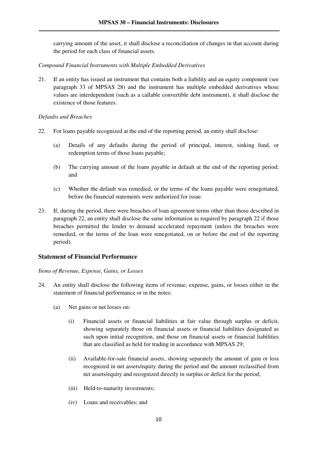carrying amount of the asset, it shall disclose a reconciliation of changes in that account during the period for each class of financial assets.

### *Compound Financial Instruments with Multiple Embedded Derivatives*

21. If an entity has issued an instrument that contains both a liability and an equity component (see paragraph 33 of MPSAS 28) and the instrument has multiple embedded derivatives whose values are interdependent (such as a callable convertible debt instrument), it shall disclose the existence of those features.

### *Defaults and Breaches*

- 22. For loans payable recognized at the end of the reporting period, an entity shall disclose:
	- (a) Details of any defaults during the period of principal, interest, sinking fund, or redemption terms of those loans payable;
	- (b) The carrying amount of the loans payable in default at the end of the reporting period; and
	- (c) Whether the default was remedied, or the terms of the loans payable were renegotiated, before the financial statements were authorized for issue.
- 23. If, during the period, there were breaches of loan agreement terms other than those described in paragraph 22, an entity shall disclose the same information as required by paragraph 22 if those breaches permitted the lender to demand accelerated repayment (unless the breaches were remedied, or the terms of the loan were renegotiated, on or before the end of the reporting period).

### **Statement of Financial Performance**

### *Items of Revenue, Expense, Gains, or Losses*

- 24. An entity shall disclose the following items of revenue, expense, gains, or losses either in the statement of financial performance or in the notes:
	- (a) Net gains or net losses on:
		- (i) Financial assets or financial liabilities at fair value through surplus or deficit, showing separately those on financial assets or financial liabilities designated as such upon initial recognition, and those on financial assets or financial liabilities that are classified as held for trading in accordance with MPSAS 29;
		- (ii) Available-for-sale financial assets, showing separately the amount of gain or loss recognized in net assets/equity during the period and the amount reclassified from net assets/equity and recognized directly in surplus or deficit for the period;
		- (iii) Held-to-maturity investments;
		- (iv) Loans and receivables; and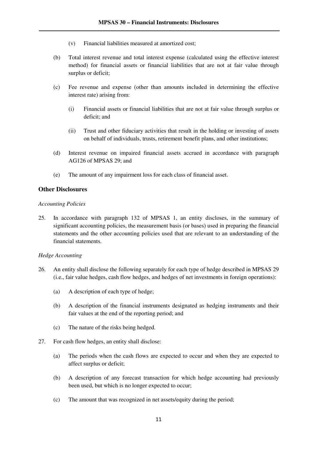- (v) Financial liabilities measured at amortized cost;
- (b) Total interest revenue and total interest expense (calculated using the effective interest method) for financial assets or financial liabilities that are not at fair value through surplus or deficit;
- (c) Fee revenue and expense (other than amounts included in determining the effective interest rate) arising from:
	- (i) Financial assets or financial liabilities that are not at fair value through surplus or deficit; and
	- (ii) Trust and other fiduciary activities that result in the holding or investing of assets on behalf of individuals, trusts, retirement benefit plans, and other institutions;
- (d) Interest revenue on impaired financial assets accrued in accordance with paragraph AG126 of MPSAS 29; and
- (e) The amount of any impairment loss for each class of financial asset.

### **Other Disclosures**

#### *Accounting Policies*

25. In accordance with paragraph 132 of MPSAS 1, an entity discloses, in the summary of significant accounting policies, the measurement basis (or bases) used in preparing the financial statements and the other accounting policies used that are relevant to an understanding of the financial statements.

### *Hedge Accounting*

- 26. An entity shall disclose the following separately for each type of hedge described in MPSAS 29 (i.e., fair value hedges, cash flow hedges, and hedges of net investments in foreign operations):
	- (a) A description of each type of hedge;
	- (b) A description of the financial instruments designated as hedging instruments and their fair values at the end of the reporting period; and
	- (c) The nature of the risks being hedged.
- 27. For cash flow hedges, an entity shall disclose:
	- (a) The periods when the cash flows are expected to occur and when they are expected to affect surplus or deficit;
	- (b) A description of any forecast transaction for which hedge accounting had previously been used, but which is no longer expected to occur;
	- (c) The amount that was recognized in net assets/equity during the period;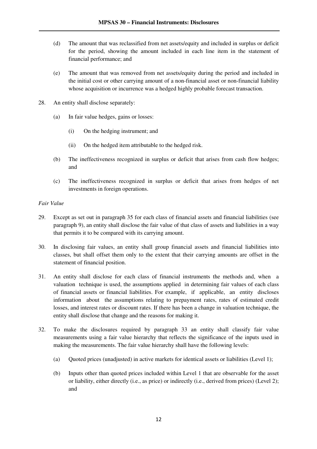- (d) The amount that was reclassified from net assets/equity and included in surplus or deficit for the period, showing the amount included in each line item in the statement of financial performance; and
- (e) The amount that was removed from net assets/equity during the period and included in the initial cost or other carrying amount of a non-financial asset or non-financial liability whose acquisition or incurrence was a hedged highly probable forecast transaction.
- 28. An entity shall disclose separately:
	- (a) In fair value hedges, gains or losses:
		- (i) On the hedging instrument; and
		- (ii) On the hedged item attributable to the hedged risk.
	- (b) The ineffectiveness recognized in surplus or deficit that arises from cash flow hedges; and
	- (c) The ineffectiveness recognized in surplus or deficit that arises from hedges of net investments in foreign operations.

### *Fair Value*

- 29. Except as set out in paragraph 35 for each class of financial assets and financial liabilities (see paragraph 9), an entity shall disclose the fair value of that class of assets and liabilities in a way that permits it to be compared with its carrying amount.
- 30. In disclosing fair values, an entity shall group financial assets and financial liabilities into classes, but shall offset them only to the extent that their carrying amounts are offset in the statement of financial position.
- 31. An entity shall disclose for each class of financial instruments the methods and, when a valuation technique is used, the assumptions applied in determining fair values of each class of financial assets or financial liabilities. For example, if applicable, an entity discloses information about the assumptions relating to prepayment rates, rates of estimated credit losses, and interest rates or discount rates. If there has been a change in valuation technique, the entity shall disclose that change and the reasons for making it.
- 32. To make the disclosures required by paragraph 33 an entity shall classify fair value measurements using a fair value hierarchy that reflects the significance of the inputs used in making the measurements. The fair value hierarchy shall have the following levels:
	- (a) Quoted prices (unadjusted) in active markets for identical assets or liabilities (Level 1);
	- (b) Inputs other than quoted prices included within Level 1 that are observable for the asset or liability, either directly (i.e., as price) or indirectly (i.e., derived from prices) (Level 2); and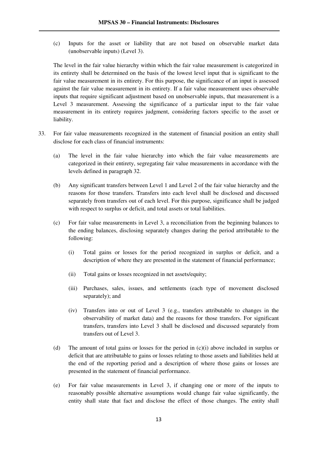(c) Inputs for the asset or liability that are not based on observable market data (unobservable inputs) (Level 3).

The level in the fair value hierarchy within which the fair value measurement is categorized in its entirety shall be determined on the basis of the lowest level input that is significant to the fair value measurement in its entirety. For this purpose, the significance of an input is assessed against the fair value measurement in its entirety. If a fair value measurement uses observable inputs that require significant adjustment based on unobservable inputs, that measurement is a Level 3 measurement. Assessing the significance of a particular input to the fair value measurement in its entirety requires judgment, considering factors specific to the asset or liability.

- 33. For fair value measurements recognized in the statement of financial position an entity shall disclose for each class of financial instruments:
	- (a) The level in the fair value hierarchy into which the fair value measurements are categorized in their entirety, segregating fair value measurements in accordance with the levels defined in paragraph 32.
	- (b) Any significant transfers between Level 1 and Level 2 of the fair value hierarchy and the reasons for those transfers. Transfers into each level shall be disclosed and discussed separately from transfers out of each level. For this purpose, significance shall be judged with respect to surplus or deficit, and total assets or total liabilities.
	- (c) For fair value measurements in Level 3, a reconciliation from the beginning balances to the ending balances, disclosing separately changes during the period attributable to the following:
		- (i) Total gains or losses for the period recognized in surplus or deficit, and a description of where they are presented in the statement of financial performance;
		- (ii) Total gains or losses recognized in net assets/equity;
		- (iii) Purchases, sales, issues, and settlements (each type of movement disclosed separately); and
		- (iv) Transfers into or out of Level 3 (e.g., transfers attributable to changes in the observability of market data) and the reasons for those transfers. For significant transfers, transfers into Level 3 shall be disclosed and discussed separately from transfers out of Level 3.
	- (d) The amount of total gains or losses for the period in (c)(i) above included in surplus or deficit that are attributable to gains or losses relating to those assets and liabilities held at the end of the reporting period and a description of where those gains or losses are presented in the statement of financial performance.
	- (e) For fair value measurements in Level 3, if changing one or more of the inputs to reasonably possible alternative assumptions would change fair value significantly, the entity shall state that fact and disclose the effect of those changes. The entity shall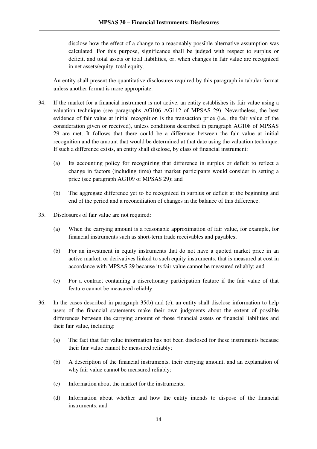disclose how the effect of a change to a reasonably possible alternative assumption was calculated. For this purpose, significance shall be judged with respect to surplus or deficit, and total assets or total liabilities, or, when changes in fair value are recognized in net assets/equity, total equity.

An entity shall present the quantitative disclosures required by this paragraph in tabular format unless another format is more appropriate.

- 34. If the market for a financial instrument is not active, an entity establishes its fair value using a valuation technique (see paragraphs AG106–AG112 of MPSAS 29). Nevertheless, the best evidence of fair value at initial recognition is the transaction price (i.e., the fair value of the consideration given or received), unless conditions described in paragraph AG108 of MPSAS 29 are met. It follows that there could be a difference between the fair value at initial recognition and the amount that would be determined at that date using the valuation technique. If such a difference exists, an entity shall disclose, by class of financial instrument:
	- (a) Its accounting policy for recognizing that difference in surplus or deficit to reflect a change in factors (including time) that market participants would consider in setting a price (see paragraph AG109 of MPSAS 29); and
	- (b) The aggregate difference yet to be recognized in surplus or deficit at the beginning and end of the period and a reconciliation of changes in the balance of this difference.
- 35. Disclosures of fair value are not required:
	- (a) When the carrying amount is a reasonable approximation of fair value, for example, for financial instruments such as short-term trade receivables and payables;
	- (b) For an investment in equity instruments that do not have a quoted market price in an active market, or derivatives linked to such equity instruments, that is measured at cost in accordance with MPSAS 29 because its fair value cannot be measured reliably; and
	- (c) For a contract containing a discretionary participation feature if the fair value of that feature cannot be measured reliably.
- 36. In the cases described in paragraph 35(b) and (c), an entity shall disclose information to help users of the financial statements make their own judgments about the extent of possible differences between the carrying amount of those financial assets or financial liabilities and their fair value, including:
	- (a) The fact that fair value information has not been disclosed for these instruments because their fair value cannot be measured reliably;
	- (b) A description of the financial instruments, their carrying amount, and an explanation of why fair value cannot be measured reliably;
	- (c) Information about the market for the instruments;
	- (d) Information about whether and how the entity intends to dispose of the financial instruments; and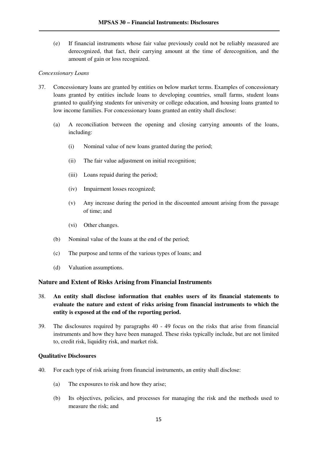(e) If financial instruments whose fair value previously could not be reliably measured are derecognized, that fact, their carrying amount at the time of derecognition, and the amount of gain or loss recognized.

### *Concessionary Loans*

- 37. Concessionary loans are granted by entities on below market terms. Examples of concessionary loans granted by entities include loans to developing countries, small farms, student loans granted to qualifying students for university or college education, and housing loans granted to low income families. For concessionary loans granted an entity shall disclose:
	- (a) A reconciliation between the opening and closing carrying amounts of the loans, including:
		- (i) Nominal value of new loans granted during the period;
		- (ii) The fair value adjustment on initial recognition;
		- (iii) Loans repaid during the period;
		- (iv) Impairment losses recognized;
		- (v) Any increase during the period in the discounted amount arising from the passage of time; and
		- (vi) Other changes.
	- (b) Nominal value of the loans at the end of the period;
	- (c) The purpose and terms of the various types of loans; and
	- (d) Valuation assumptions.

### **Nature and Extent of Risks Arising from Financial Instruments**

- 38. **An entity shall disclose information that enables users of its financial statements to evaluate the nature and extent of risks arising from financial instruments to which the entity is exposed at the end of the reporting period.**
- 39. The disclosures required by paragraphs 40 49 focus on the risks that arise from financial instruments and how they have been managed. These risks typically include, but are not limited to, credit risk, liquidity risk, and market risk.

### **Qualitative Disclosures**

- 40. For each type of risk arising from financial instruments, an entity shall disclose:
	- (a) The exposures to risk and how they arise;
	- (b) Its objectives, policies, and processes for managing the risk and the methods used to measure the risk; and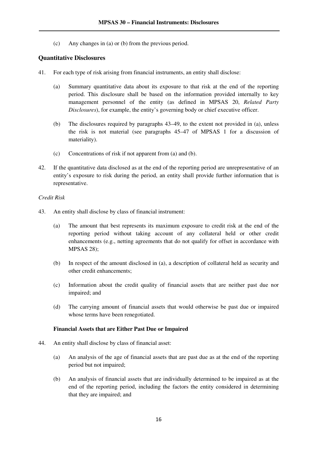(c) Any changes in (a) or (b) from the previous period.

# **Quantitative Disclosures**

- 41. For each type of risk arising from financial instruments, an entity shall disclose:
	- (a) Summary quantitative data about its exposure to that risk at the end of the reporting period. This disclosure shall be based on the information provided internally to key management personnel of the entity (as defined in MPSAS 20, *Related Party Disclosures*), for example, the entity's governing body or chief executive officer.
	- (b) The disclosures required by paragraphs 43–49, to the extent not provided in (a), unless the risk is not material (see paragraphs 45–47 of MPSAS 1 for a discussion of materiality).
	- (c) Concentrations of risk if not apparent from (a) and (b).
- 42. If the quantitative data disclosed as at the end of the reporting period are unrepresentative of an entity's exposure to risk during the period, an entity shall provide further information that is representative.

### *Credit Risk*

- 43. An entity shall disclose by class of financial instrument:
	- (a) The amount that best represents its maximum exposure to credit risk at the end of the reporting period without taking account of any collateral held or other credit enhancements (e.g., netting agreements that do not qualify for offset in accordance with MPSAS 28);
	- (b) In respect of the amount disclosed in (a), a description of collateral held as security and other credit enhancements;
	- (c) Information about the credit quality of financial assets that are neither past due nor impaired; and
	- (d) The carrying amount of financial assets that would otherwise be past due or impaired whose terms have been renegotiated.

### **Financial Assets that are Either Past Due or Impaired**

- 44. An entity shall disclose by class of financial asset:
	- (a) An analysis of the age of financial assets that are past due as at the end of the reporting period but not impaired;
	- (b) An analysis of financial assets that are individually determined to be impaired as at the end of the reporting period, including the factors the entity considered in determining that they are impaired; and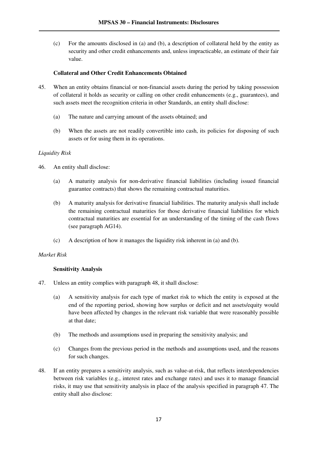(c) For the amounts disclosed in (a) and (b), a description of collateral held by the entity as security and other credit enhancements and, unless impracticable, an estimate of their fair value.

### **Collateral and Other Credit Enhancements Obtained**

- 45. When an entity obtains financial or non-financial assets during the period by taking possession of collateral it holds as security or calling on other credit enhancements (e.g., guarantees), and such assets meet the recognition criteria in other Standards, an entity shall disclose:
	- (a) The nature and carrying amount of the assets obtained; and
	- (b) When the assets are not readily convertible into cash, its policies for disposing of such assets or for using them in its operations.

### *Liquidity Risk*

- 46. An entity shall disclose:
	- (a) A maturity analysis for non-derivative financial liabilities (including issued financial guarantee contracts) that shows the remaining contractual maturities.
	- (b) A maturity analysis for derivative financial liabilities. The maturity analysis shall include the remaining contractual maturities for those derivative financial liabilities for which contractual maturities are essential for an understanding of the timing of the cash flows (see paragraph AG14).
	- (c) A description of how it manages the liquidity risk inherent in (a) and (b).

### *Market Risk*

### **Sensitivity Analysis**

- 47. Unless an entity complies with paragraph 48, it shall disclose:
	- (a) A sensitivity analysis for each type of market risk to which the entity is exposed at the end of the reporting period, showing how surplus or deficit and net assets/equity would have been affected by changes in the relevant risk variable that were reasonably possible at that date;
	- (b) The methods and assumptions used in preparing the sensitivity analysis; and
	- (c) Changes from the previous period in the methods and assumptions used, and the reasons for such changes.
- 48. If an entity prepares a sensitivity analysis, such as value-at-risk, that reflects interdependencies between risk variables (e.g., interest rates and exchange rates) and uses it to manage financial risks, it may use that sensitivity analysis in place of the analysis specified in paragraph 47. The entity shall also disclose: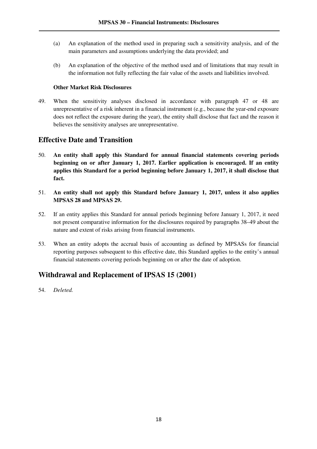- (a) An explanation of the method used in preparing such a sensitivity analysis, and of the main parameters and assumptions underlying the data provided; and
- (b) An explanation of the objective of the method used and of limitations that may result in the information not fully reflecting the fair value of the assets and liabilities involved.

### **Other Market Risk Disclosures**

49. When the sensitivity analyses disclosed in accordance with paragraph 47 or 48 are unrepresentative of a risk inherent in a financial instrument (e.g., because the year-end exposure does not reflect the exposure during the year), the entity shall disclose that fact and the reason it believes the sensitivity analyses are unrepresentative.

# **Effective Date and Transition**

- 50. **An entity shall apply this Standard for annual financial statements covering periods beginning on or after January 1, 2017. Earlier application is encouraged. If an entity applies this Standard for a period beginning before January 1, 2017, it shall disclose that fact.**
- 51. **An entity shall not apply this Standard before January 1, 2017, unless it also applies MPSAS 28 and MPSAS 29.**
- 52. If an entity applies this Standard for annual periods beginning before January 1, 2017, it need not present comparative information for the disclosures required by paragraphs 38–49 about the nature and extent of risks arising from financial instruments.
- 53. When an entity adopts the accrual basis of accounting as defined by MPSASs for financial reporting purposes subsequent to this effective date, this Standard applies to the entity's annual financial statements covering periods beginning on or after the date of adoption.

# **Withdrawal and Replacement of IPSAS 15 (2001)**

54. *Deleted.*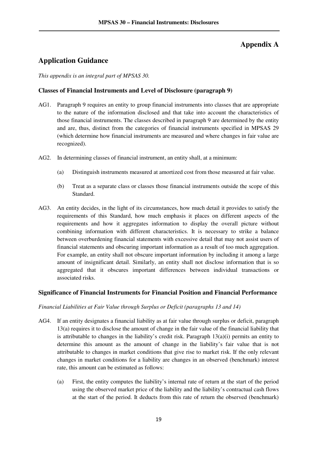# **Appendix A**

# **Application Guidance**

*This appendix is an integral part of MPSAS 30.* 

# **Classes of Financial Instruments and Level of Disclosure (paragraph 9)**

- AG1. Paragraph 9 requires an entity to group financial instruments into classes that are appropriate to the nature of the information disclosed and that take into account the characteristics of those financial instruments. The classes described in paragraph 9 are determined by the entity and are, thus, distinct from the categories of financial instruments specified in MPSAS 29 (which determine how financial instruments are measured and where changes in fair value are recognized).
- AG2. In determining classes of financial instrument, an entity shall, at a minimum:
	- (a) Distinguish instruments measured at amortized cost from those measured at fair value.
	- (b) Treat as a separate class or classes those financial instruments outside the scope of this Standard.
- AG3. An entity decides, in the light of its circumstances, how much detail it provides to satisfy the requirements of this Standard, how much emphasis it places on different aspects of the requirements and how it aggregates information to display the overall picture without combining information with different characteristics. It is necessary to strike a balance between overburdening financial statements with excessive detail that may not assist users of financial statements and obscuring important information as a result of too much aggregation. For example, an entity shall not obscure important information by including it among a large amount of insignificant detail. Similarly, an entity shall not disclose information that is so aggregated that it obscures important differences between individual transactions or associated risks.

### **Significance of Financial Instruments for Financial Position and Financial Performance**

*Financial Liabilities at Fair Value through Surplus or Deficit (paragraphs 13 and 14)* 

- AG4. If an entity designates a financial liability as at fair value through surplus or deficit, paragraph 13(a) requires it to disclose the amount of change in the fair value of the financial liability that is attributable to changes in the liability's credit risk. Paragraph  $13(a)(i)$  permits an entity to determine this amount as the amount of change in the liability's fair value that is not attributable to changes in market conditions that give rise to market risk. If the only relevant changes in market conditions for a liability are changes in an observed (benchmark) interest rate, this amount can be estimated as follows:
	- (a) First, the entity computes the liability's internal rate of return at the start of the period using the observed market price of the liability and the liability's contractual cash flows at the start of the period. It deducts from this rate of return the observed (benchmark)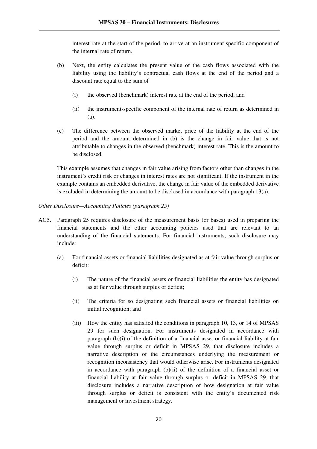interest rate at the start of the period, to arrive at an instrument-specific component of the internal rate of return.

- (b) Next, the entity calculates the present value of the cash flows associated with the liability using the liability's contractual cash flows at the end of the period and a discount rate equal to the sum of
	- (i) the observed (benchmark) interest rate at the end of the period, and
	- (ii) the instrument-specific component of the internal rate of return as determined in (a).
- (c) The difference between the observed market price of the liability at the end of the period and the amount determined in (b) is the change in fair value that is not attributable to changes in the observed (benchmark) interest rate. This is the amount to be disclosed.

This example assumes that changes in fair value arising from factors other than changes in the instrument's credit risk or changes in interest rates are not significant. If the instrument in the example contains an embedded derivative, the change in fair value of the embedded derivative is excluded in determining the amount to be disclosed in accordance with paragraph 13(a).

### *Other Disclosure—Accounting Policies (paragraph 25)*

- AG5. Paragraph 25 requires disclosure of the measurement basis (or bases) used in preparing the financial statements and the other accounting policies used that are relevant to an understanding of the financial statements. For financial instruments, such disclosure may include:
	- (a) For financial assets or financial liabilities designated as at fair value through surplus or deficit:
		- (i) The nature of the financial assets or financial liabilities the entity has designated as at fair value through surplus or deficit;
		- (ii) The criteria for so designating such financial assets or financial liabilities on initial recognition; and
		- (iii) How the entity has satisfied the conditions in paragraph 10, 13, or 14 of MPSAS 29 for such designation. For instruments designated in accordance with paragraph (b)(i) of the definition of a financial asset or financial liability at fair value through surplus or deficit in MPSAS 29, that disclosure includes a narrative description of the circumstances underlying the measurement or recognition inconsistency that would otherwise arise. For instruments designated in accordance with paragraph (b)(ii) of the definition of a financial asset or financial liability at fair value through surplus or deficit in MPSAS 29, that disclosure includes a narrative description of how designation at fair value through surplus or deficit is consistent with the entity's documented risk management or investment strategy.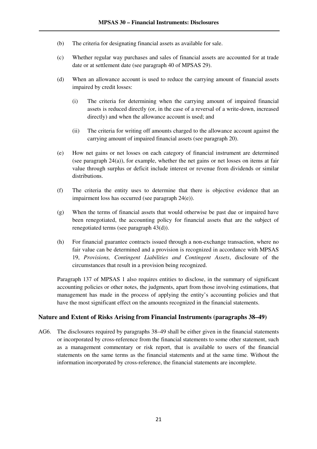- (b) The criteria for designating financial assets as available for sale.
- (c) Whether regular way purchases and sales of financial assets are accounted for at trade date or at settlement date (see paragraph 40 of MPSAS 29).
- (d) When an allowance account is used to reduce the carrying amount of financial assets impaired by credit losses:
	- (i) The criteria for determining when the carrying amount of impaired financial assets is reduced directly (or, in the case of a reversal of a write-down, increased directly) and when the allowance account is used; and
	- (ii) The criteria for writing off amounts charged to the allowance account against the carrying amount of impaired financial assets (see paragraph 20).
- (e) How net gains or net losses on each category of financial instrument are determined (see paragraph  $24(a)$ ), for example, whether the net gains or net losses on items at fair value through surplus or deficit include interest or revenue from dividends or similar distributions.
- (f) The criteria the entity uses to determine that there is objective evidence that an impairment loss has occurred (see paragraph 24(e)).
- (g) When the terms of financial assets that would otherwise be past due or impaired have been renegotiated, the accounting policy for financial assets that are the subject of renegotiated terms (see paragraph 43(d)).
- (h) For financial guarantee contracts issued through a non-exchange transaction, where no fair value can be determined and a provision is recognized in accordance with MPSAS 19, *Provisions, Contingent Liabilities and Contingent Assets*, disclosure of the circumstances that result in a provision being recognized.

Paragraph 137 of MPSAS 1 also requires entities to disclose, in the summary of significant accounting policies or other notes, the judgments, apart from those involving estimations, that management has made in the process of applying the entity's accounting policies and that have the most significant effect on the amounts recognized in the financial statements.

### **Nature and Extent of Risks Arising from Financial Instruments (paragraphs 38–49)**

AG6. The disclosures required by paragraphs 38–49 shall be either given in the financial statements or incorporated by cross-reference from the financial statements to some other statement, such as a management commentary or risk report, that is available to users of the financial statements on the same terms as the financial statements and at the same time. Without the information incorporated by cross-reference, the financial statements are incomplete.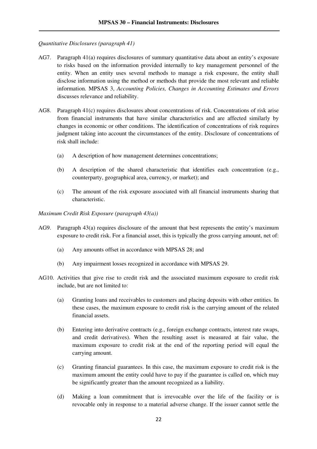### *Quantitative Disclosures (paragraph 41)*

- AG7. Paragraph 41(a) requires disclosures of summary quantitative data about an entity's exposure to risks based on the information provided internally to key management personnel of the entity. When an entity uses several methods to manage a risk exposure, the entity shall disclose information using the method or methods that provide the most relevant and reliable information. MPSAS 3, *Accounting Policies, Changes in Accounting Estimates and Errors* discusses relevance and reliability.
- AG8. Paragraph 41(c) requires disclosures about concentrations of risk. Concentrations of risk arise from financial instruments that have similar characteristics and are affected similarly by changes in economic or other conditions. The identification of concentrations of risk requires judgment taking into account the circumstances of the entity. Disclosure of concentrations of risk shall include:
	- (a) A description of how management determines concentrations;
	- (b) A description of the shared characteristic that identifies each concentration (e.g., counterparty, geographical area, currency, or market); and
	- (c) The amount of the risk exposure associated with all financial instruments sharing that characteristic.

### *Maximum Credit Risk Exposure (paragraph 43(a))*

- AG9. Paragraph 43(a) requires disclosure of the amount that best represents the entity's maximum exposure to credit risk. For a financial asset, this is typically the gross carrying amount, net of:
	- (a) Any amounts offset in accordance with MPSAS 28; and
	- (b) Any impairment losses recognized in accordance with MPSAS 29.
- AG10. Activities that give rise to credit risk and the associated maximum exposure to credit risk include, but are not limited to:
	- (a) Granting loans and receivables to customers and placing deposits with other entities. In these cases, the maximum exposure to credit risk is the carrying amount of the related financial assets.
	- (b) Entering into derivative contracts (e.g., foreign exchange contracts, interest rate swaps, and credit derivatives). When the resulting asset is measured at fair value, the maximum exposure to credit risk at the end of the reporting period will equal the carrying amount.
	- (c) Granting financial guarantees. In this case, the maximum exposure to credit risk is the maximum amount the entity could have to pay if the guarantee is called on, which may be significantly greater than the amount recognized as a liability.
	- (d) Making a loan commitment that is irrevocable over the life of the facility or is revocable only in response to a material adverse change. If the issuer cannot settle the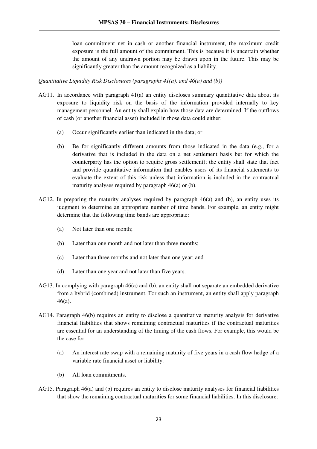loan commitment net in cash or another financial instrument, the maximum credit exposure is the full amount of the commitment. This is because it is uncertain whether the amount of any undrawn portion may be drawn upon in the future. This may be significantly greater than the amount recognized as a liability.

*Quantitative Liquidity Risk Disclosures (paragraphs 41(a), and 46(a) and (b))* 

- AG11. In accordance with paragraph 41(a) an entity discloses summary quantitative data about its exposure to liquidity risk on the basis of the information provided internally to key management personnel. An entity shall explain how those data are determined. If the outflows of cash (or another financial asset) included in those data could either:
	- (a) Occur significantly earlier than indicated in the data; or
	- (b) Be for significantly different amounts from those indicated in the data (e.g., for a derivative that is included in the data on a net settlement basis but for which the counterparty has the option to require gross settlement); the entity shall state that fact and provide quantitative information that enables users of its financial statements to evaluate the extent of this risk unless that information is included in the contractual maturity analyses required by paragraph 46(a) or (b).
- AG12. In preparing the maturity analyses required by paragraph 46(a) and (b), an entity uses its judgment to determine an appropriate number of time bands. For example, an entity might determine that the following time bands are appropriate:
	- (a) Not later than one month;
	- (b) Later than one month and not later than three months;
	- (c) Later than three months and not later than one year; and
	- (d) Later than one year and not later than five years.
- AG13. In complying with paragraph 46(a) and (b), an entity shall not separate an embedded derivative from a hybrid (combined) instrument. For such an instrument, an entity shall apply paragraph 46(a).
- AG14. Paragraph 46(b) requires an entity to disclose a quantitative maturity analysis for derivative financial liabilities that shows remaining contractual maturities if the contractual maturities are essential for an understanding of the timing of the cash flows. For example, this would be the case for:
	- (a) An interest rate swap with a remaining maturity of five years in a cash flow hedge of a variable rate financial asset or liability.
	- (b) All loan commitments.
- AG15. Paragraph 46(a) and (b) requires an entity to disclose maturity analyses for financial liabilities that show the remaining contractual maturities for some financial liabilities. In this disclosure: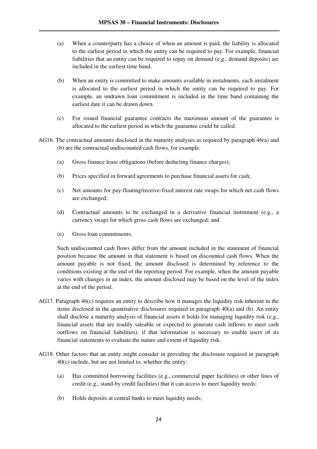- (a) When a counterparty has a choice of when an amount is paid, the liability is allocated to the earliest period in which the entity can be required to pay. For example, financial liabilities that an entity can be required to repay on demand (e.g., demand deposits) are included in the earliest time band.
- (b) When an entity is committed to make amounts available in instalments, each instalment is allocated to the earliest period in which the entity can be required to pay. For example, an undrawn loan commitment is included in the time band containing the earliest date it can be drawn down.
- (c) For issued financial guarantee contracts the maximum amount of the guarantee is allocated to the earliest period in which the guarantee could be called.
- AG16. The contractual amounts disclosed in the maturity analyses as required by paragraph 46(a) and (b) are the contractual undiscounted cash flows, for example:
	- (a) Gross finance lease obligations (before deducting finance charges);
	- (b) Prices specified in forward agreements to purchase financial assets for cash;
	- (c) Net amounts for pay-floating/receive-fixed interest rate swaps for which net cash flows are exchanged;
	- (d) Contractual amounts to be exchanged in a derivative financial instrument (e.g., a currency swap) for which gross cash flows are exchanged; and
	- (e) Gross loan commitments.

 Such undiscounted cash flows differ from the amount included in the statement of financial position because the amount in that statement is based on discounted cash flows. When the amount payable is not fixed, the amount disclosed is determined by reference to the conditions existing at the end of the reporting period. For example, when the amount payable varies with changes in an index, the amount disclosed may be based on the level of the index at the end of the period.

- AG17. Paragraph 46(c) requires an entity to describe how it manages the liquidity risk inherent in the items disclosed in the quantitative disclosures required in paragraph 40(a) and (b). An entity shall disclose a maturity analysis of financial assets it holds for managing liquidity risk (e.g., financial assets that are readily saleable or expected to generate cash inflows to meet cash outflows on financial liabilities), if that information is necessary to enable users of its financial statements to evaluate the nature and extent of liquidity risk.
- AG18. Other factors that an entity might consider in providing the disclosure required in paragraph 40(c) include, but are not limited to, whether the entity:
	- (a) Has committed borrowing facilities (e.g., commercial paper facilities) or other lines of credit (e.g., stand-by credit facilities) that it can access to meet liquidity needs;
	- (b) Holds deposits at central banks to meet liquidity needs;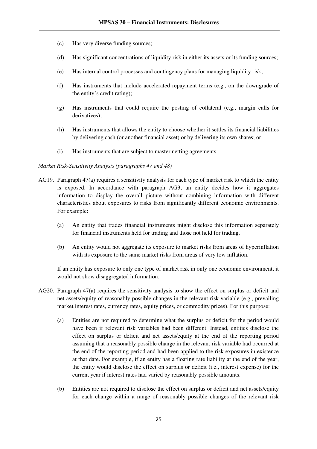- (c) Has very diverse funding sources;
- (d) Has significant concentrations of liquidity risk in either its assets or its funding sources;
- (e) Has internal control processes and contingency plans for managing liquidity risk;
- (f) Has instruments that include accelerated repayment terms (e.g., on the downgrade of the entity's credit rating);
- (g) Has instruments that could require the posting of collateral (e.g., margin calls for derivatives);
- (h) Has instruments that allows the entity to choose whether it settles its financial liabilities by delivering cash (or another financial asset) or by delivering its own shares; or
- (i) Has instruments that are subject to master netting agreements.

#### *Market Risk-Sensitivity Analysis (paragraphs 47 and 48)*

- AG19. Paragraph 47(a) requires a sensitivity analysis for each type of market risk to which the entity is exposed. In accordance with paragraph AG3, an entity decides how it aggregates information to display the overall picture without combining information with different characteristics about exposures to risks from significantly different economic environments. For example:
	- (a) An entity that trades financial instruments might disclose this information separately for financial instruments held for trading and those not held for trading.
	- (b) An entity would not aggregate its exposure to market risks from areas of hyperinflation with its exposure to the same market risks from areas of very low inflation.

If an entity has exposure to only one type of market risk in only one economic environment, it would not show disaggregated information.

- AG20. Paragraph 47(a) requires the sensitivity analysis to show the effect on surplus or deficit and net assets/equity of reasonably possible changes in the relevant risk variable (e.g., prevailing market interest rates, currency rates, equity prices, or commodity prices). For this purpose:
	- (a) Entities are not required to determine what the surplus or deficit for the period would have been if relevant risk variables had been different. Instead, entities disclose the effect on surplus or deficit and net assets/equity at the end of the reporting period assuming that a reasonably possible change in the relevant risk variable had occurred at the end of the reporting period and had been applied to the risk exposures in existence at that date. For example, if an entity has a floating rate liability at the end of the year, the entity would disclose the effect on surplus or deficit (i.e., interest expense) for the current year if interest rates had varied by reasonably possible amounts.
	- (b) Entities are not required to disclose the effect on surplus or deficit and net assets/equity for each change within a range of reasonably possible changes of the relevant risk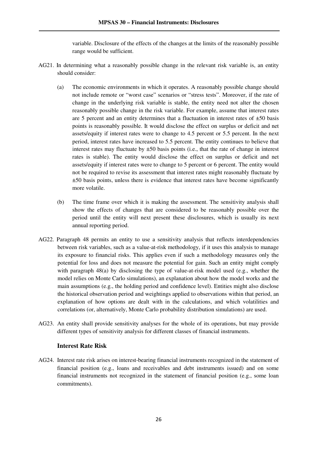variable. Disclosure of the effects of the changes at the limits of the reasonably possible range would be sufficient.

- AG21. In determining what a reasonably possible change in the relevant risk variable is, an entity should consider:
	- (a) The economic environments in which it operates. A reasonably possible change should not include remote or "worst case" scenarios or "stress tests". Moreover, if the rate of change in the underlying risk variable is stable, the entity need not alter the chosen reasonably possible change in the risk variable. For example, assume that interest rates are 5 percent and an entity determines that a fluctuation in interest rates of  $\pm 50$  basis points is reasonably possible. It would disclose the effect on surplus or deficit and net assets/equity if interest rates were to change to 4.5 percent or 5.5 percent. In the next period, interest rates have increased to 5.5 percent. The entity continues to believe that interest rates may fluctuate by  $\pm 50$  basis points (i.e., that the rate of change in interest rates is stable). The entity would disclose the effect on surplus or deficit and net assets/equity if interest rates were to change to 5 percent or 6 percent. The entity would not be required to revise its assessment that interest rates might reasonably fluctuate by ±50 basis points, unless there is evidence that interest rates have become significantly more volatile.
	- (b) The time frame over which it is making the assessment. The sensitivity analysis shall show the effects of changes that are considered to be reasonably possible over the period until the entity will next present these disclosures, which is usually its next annual reporting period.
- AG22. Paragraph 48 permits an entity to use a sensitivity analysis that reflects interdependencies between risk variables, such as a value-at-risk methodology, if it uses this analysis to manage its exposure to financial risks. This applies even if such a methodology measures only the potential for loss and does not measure the potential for gain. Such an entity might comply with paragraph  $48(a)$  by disclosing the type of value-at-risk model used (e.g., whether the model relies on Monte Carlo simulations), an explanation about how the model works and the main assumptions (e.g., the holding period and confidence level). Entities might also disclose the historical observation period and weightings applied to observations within that period, an explanation of how options are dealt with in the calculations, and which volatilities and correlations (or, alternatively, Monte Carlo probability distribution simulations) are used.
- AG23. An entity shall provide sensitivity analyses for the whole of its operations, but may provide different types of sensitivity analysis for different classes of financial instruments.

### **Interest Rate Risk**

AG24. Interest rate risk arises on interest-bearing financial instruments recognized in the statement of financial position (e.g., loans and receivables and debt instruments issued) and on some financial instruments not recognized in the statement of financial position (e.g., some loan commitments).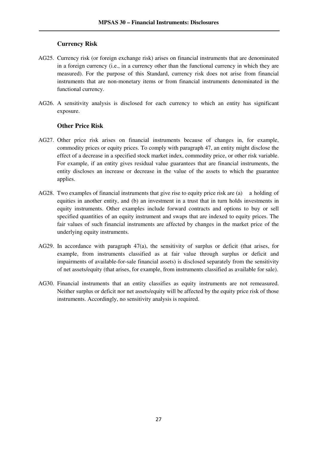# **Currency Risk**

- AG25. Currency risk (or foreign exchange risk) arises on financial instruments that are denominated in a foreign currency (i.e., in a currency other than the functional currency in which they are measured). For the purpose of this Standard, currency risk does not arise from financial instruments that are non-monetary items or from financial instruments denominated in the functional currency.
- AG26. A sensitivity analysis is disclosed for each currency to which an entity has significant exposure.

# **Other Price Risk**

- AG27. Other price risk arises on financial instruments because of changes in, for example, commodity prices or equity prices. To comply with paragraph 47, an entity might disclose the effect of a decrease in a specified stock market index, commodity price, or other risk variable. For example, if an entity gives residual value guarantees that are financial instruments, the entity discloses an increase or decrease in the value of the assets to which the guarantee applies.
- AG28. Two examples of financial instruments that give rise to equity price risk are (a) a holding of equities in another entity, and (b) an investment in a trust that in turn holds investments in equity instruments. Other examples include forward contracts and options to buy or sell specified quantities of an equity instrument and swaps that are indexed to equity prices. The fair values of such financial instruments are affected by changes in the market price of the underlying equity instruments.
- AG29. In accordance with paragraph 47(a), the sensitivity of surplus or deficit (that arises, for example, from instruments classified as at fair value through surplus or deficit and impairments of available-for-sale financial assets) is disclosed separately from the sensitivity of net assets/equity (that arises, for example, from instruments classified as available for sale).
- AG30. Financial instruments that an entity classifies as equity instruments are not remeasured. Neither surplus or deficit nor net assets/equity will be affected by the equity price risk of those instruments. Accordingly, no sensitivity analysis is required.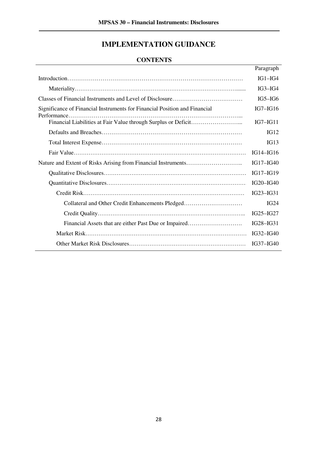# **IMPLEMENTATION GUIDANCE**

# **CONTENTS**

|                                                                            | Paragraph     |
|----------------------------------------------------------------------------|---------------|
|                                                                            | $IG1-IG4$     |
|                                                                            | IG3–IG4       |
|                                                                            | $IG5-IG6$     |
| Significance of Financial Instruments for Financial Position and Financial | $IG7-IG16$    |
|                                                                            | $IG7 - IG11$  |
|                                                                            | IG12          |
|                                                                            | IG13          |
|                                                                            | $IG14 - IG16$ |
|                                                                            | IG17–IG40     |
|                                                                            | $IG17 - IG19$ |
|                                                                            | $IG20 - IG40$ |
|                                                                            | $IG23 - IG31$ |
| Collateral and Other Credit Enhancements Pledged                           | IG24          |
|                                                                            | $IG25 - IG27$ |
|                                                                            | IG28-IG31     |
|                                                                            | $IG32 - IG40$ |
|                                                                            | IG37–IG40     |
|                                                                            |               |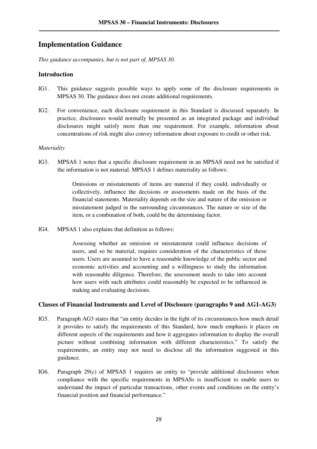# **Implementation Guidance**

*This guidance accompanies, but is not part of, MPSAS 30.*

### **Introduction**

- IG1. This guidance suggests possible ways to apply some of the disclosure requirements in MPSAS 30. The guidance does not create additional requirements.
- IG2. For convenience, each disclosure requirement in this Standard is discussed separately. In practice, disclosures would normally be presented as an integrated package and individual disclosures might satisfy more than one requirement. For example, information about concentrations of risk might also convey information about exposure to credit or other risk.

### *Materiality*

IG3. MPSAS 1 notes that a specific disclosure requirement in an MPSAS need not be satisfied if the information is not material. MPSAS 1 defines materiality as follows:

> Omissions or misstatements of items are material if they could, individually or collectively, influence the decisions or assessments made on the basis of the financial statements. Materiality depends on the size and nature of the omission or misstatement judged in the surrounding circumstances. The nature or size of the item, or a combination of both, could be the determining factor.

IG4. MPSAS 1 also explains that definition as follows:

Assessing whether an omission or misstatement could influence decisions of users, and so be material, requires consideration of the characteristics of those users. Users are assumed to have a reasonable knowledge of the public sector and economic activities and accounting and a willingness to study the information with reasonable diligence. Therefore, the assessment needs to take into account how users with such attributes could reasonably be expected to be influenced in making and evaluating decisions.

### **Classes of Financial Instruments and Level of Disclosure (paragraphs 9 and AG1-AG3)**

- IG5. Paragraph AG3 states that "an entity decides in the light of its circumstances how much detail it provides to satisfy the requirements of this Standard, how much emphasis it places on different aspects of the requirements and how it aggregates information to display the overall picture without combining information with different characteristics." To satisfy the requirements, an entity may not need to disclose all the information suggested in this guidance.
- IG6. Paragraph 29(c) of MPSAS 1 requires an entity to "provide additional disclosures when compliance with the specific requirements in MPSASs is insufficient to enable users to understand the impact of particular transactions, other events and conditions on the entity's financial position and financial performance."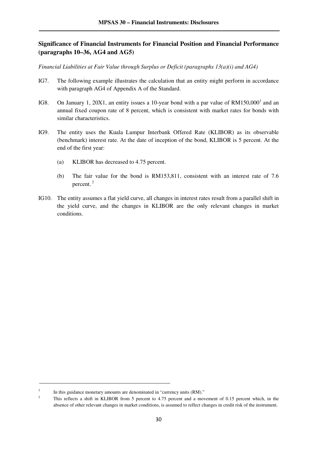# **Significance of Financial Instruments for Financial Position and Financial Performance (paragraphs 10–36, AG4 and AG5)**

*Financial Liabilities at Fair Value through Surplus or Deficit (paragraphs 13(a)(i) and AG4)* 

- IG7. The following example illustrates the calculation that an entity might perform in accordance with paragraph AG4 of Appendix A of the Standard.
- IG8. On January 1, 20X1, an entity issues a 10-year bond with a par value of  $RM150,000<sup>1</sup>$  and an annual fixed coupon rate of 8 percent, which is consistent with market rates for bonds with similar characteristics.
- IG9. The entity uses the Kuala Lumpur Interbank Offered Rate (KLIBOR) as its observable (benchmark) interest rate. At the date of inception of the bond, KLIBOR is 5 percent. At the end of the first year:
	- (a) KLIBOR has decreased to 4.75 percent.
	- (b) The fair value for the bond is RM153,811, consistent with an interest rate of 7.6 percent.<sup>2</sup>
- IG10. The entity assumes a flat yield curve, all changes in interest rates result from a parallel shift in the yield curve, and the changes in KLIBOR are the only relevant changes in market conditions.

<sup>1</sup> In this guidance monetary amounts are denominated in "currency units (RM)."

<sup>2</sup> This reflects a shift in KLIBOR from 5 percent to 4.75 percent and a movement of 0.15 percent which, in the absence of other relevant changes in market conditions, is assumed to reflect changes in credit risk of the instrument.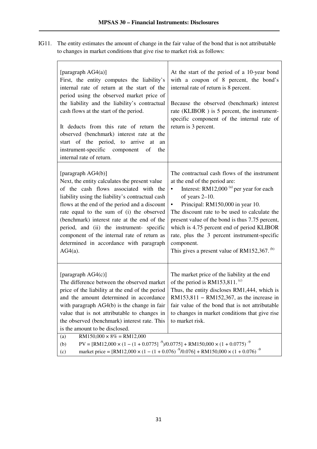IG11. The entity estimates the amount of change in the fair value of the bond that is not attributable to changes in market conditions that give rise to market risk as follows:

| [paragraph AG4(a)]<br>First, the entity computes the liability's<br>internal rate of return at the start of the<br>period using the observed market price of<br>the liability and the liability's contractual<br>cash flows at the start of the period.<br>It deducts from this rate of return the<br>observed (benchmark) interest rate at the<br>start of the period, to arrive at<br>an<br>instrument-specific component of<br>the<br>internal rate of return.                                         | At the start of the period of a 10-year bond<br>with a coupon of 8 percent, the bond's<br>internal rate of return is 8 percent.<br>Because the observed (benchmark) interest<br>rate (KLIBOR) is 5 percent, the instrument-<br>specific component of the internal rate of<br>return is 3 percent.                                                                                                                                                                                                  |
|-----------------------------------------------------------------------------------------------------------------------------------------------------------------------------------------------------------------------------------------------------------------------------------------------------------------------------------------------------------------------------------------------------------------------------------------------------------------------------------------------------------|----------------------------------------------------------------------------------------------------------------------------------------------------------------------------------------------------------------------------------------------------------------------------------------------------------------------------------------------------------------------------------------------------------------------------------------------------------------------------------------------------|
| [paragraph AG4(b)]<br>Next, the entity calculates the present value<br>of the cash flows associated with the<br>liability using the liability's contractual cash<br>flows at the end of the period and a discount<br>rate equal to the sum of (i) the observed<br>(benchmark) interest rate at the end of the<br>period, and (ii) the instrument- specific<br>component of the internal rate of return as<br>determined in accordance with paragraph<br>$AG4(a)$ .                                        | The contractual cash flows of the instrument<br>at the end of the period are:<br>Interest: RM12,000 <sup>(a)</sup> per year for each<br>$\bullet$<br>of years $2-10$ .<br>Principal: RM150,000 in year 10.<br>$\bullet$<br>The discount rate to be used to calculate the<br>present value of the bond is thus 7.75 percent,<br>which is 4.75 percent end of period KLIBOR<br>rate, plus the 3 percent instrument-specific<br>component.<br>This gives a present value of RM152,367. <sup>(b)</sup> |
| [paragraph AG4(c)]<br>The difference between the observed market<br>price of the liability at the end of the period<br>and the amount determined in accordance<br>with paragraph AG4(b) is the change in fair<br>value that is not attributable to changes in<br>the observed (benchmark) interest rate. This<br>is the amount to be disclosed.<br>$RM150,000 \times 8\% = RM12,000$<br>(a)<br>$PV = [RM12,000 \times (1 - (1 + 0.0775)^{-9})/0.0775] + RM150,000 \times (1 + 0.0775)^{-9}$<br>(b)<br>(c) | The market price of the liability at the end<br>of the period is RM153,811. $(c)$<br>Thus, the entity discloses RM1,444, which is<br>RM153,811 – RM152,367, as the increase in<br>fair value of the bond that is not attributable<br>to changes in market conditions that give rise<br>to market risk.<br>market price = [RM12,000 × (1 – (1 + 0.076) <sup>-9</sup> /0.076] + RM150,000 × (1 + 0.076) <sup>-9</sup>                                                                                |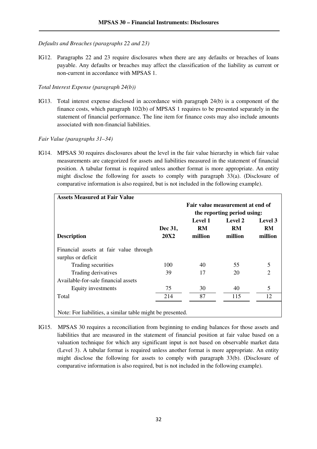*Defaults and Breaches (paragraphs 22 and 23)* 

IG12. Paragraphs 22 and 23 require disclosures when there are any defaults or breaches of loans payable. Any defaults or breaches may affect the classification of the liability as current or non-current in accordance with MPSAS 1.

*Total Interest Expense (paragraph 24(b))* 

IG13. Total interest expense disclosed in accordance with paragraph 24(b) is a component of the finance costs, which paragraph 102(b) of MPSAS 1 requires to be presented separately in the statement of financial performance. The line item for finance costs may also include amounts associated with non-financial liabilities.

*Fair Value (paragraphs 31–34)* 

IG14. MPSAS 30 requires disclosures about the level in the fair value hierarchy in which fair value measurements are categorized for assets and liabilities measured in the statement of financial position. A tabular format is required unless another format is more appropriate. An entity might disclose the following for assets to comply with paragraph 33(a). (Disclosure of comparative information is also required, but is not included in the following example).

| <b>Assets Measured at Fair Value</b>                       |             |                                                                 |         |                             |
|------------------------------------------------------------|-------------|-----------------------------------------------------------------|---------|-----------------------------|
|                                                            |             | Fair value measurement at end of<br>the reporting period using: |         |                             |
|                                                            |             |                                                                 |         |                             |
|                                                            |             | Level 1                                                         | Level 2 | Level 3                     |
|                                                            | Dec 31,     | <b>RM</b>                                                       | RM      | <b>RM</b>                   |
| <b>Description</b>                                         | <b>20X2</b> | million                                                         | million | million                     |
| Financial assets at fair value through                     |             |                                                                 |         |                             |
| surplus or deficit                                         |             |                                                                 |         |                             |
| Trading securities                                         | 100         | 40                                                              | 55      | 5                           |
| Trading derivatives                                        | 39          | 17                                                              | 20      | $\mathcal{D}_{\mathcal{L}}$ |
| Available-for-sale financial assets                        |             |                                                                 |         |                             |
| Equity investments                                         | 75          | 30                                                              | 40      | 5                           |
| Total                                                      | 214         | 87                                                              | 115     | 12                          |
|                                                            |             |                                                                 |         |                             |
| Note: For liabilities, a similar table might be presented. |             |                                                                 |         |                             |

IG15. MPSAS 30 requires a reconciliation from beginning to ending balances for those assets and liabilities that are measured in the statement of financial position at fair value based on a valuation technique for which any significant input is not based on observable market data (Level 3). A tabular format is required unless another format is more appropriate. An entity might disclose the following for assets to comply with paragraph 33(b). (Disclosure of comparative information is also required, but is not included in the following example).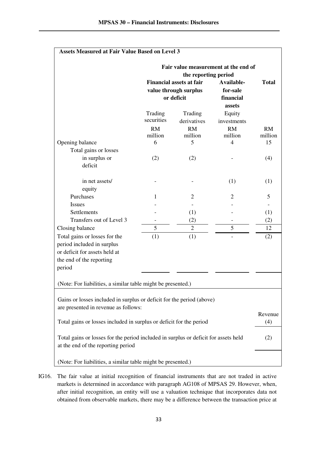| <b>Assets Measured at Fair Value Based on Level 3</b>                                                                              |                                                                        |                        |                                               |                |
|------------------------------------------------------------------------------------------------------------------------------------|------------------------------------------------------------------------|------------------------|-----------------------------------------------|----------------|
|                                                                                                                                    | Fair value measurement at the end of<br>the reporting period           |                        |                                               |                |
|                                                                                                                                    | <b>Financial assets at fair</b><br>value through surplus<br>or deficit |                        | Available-<br>for-sale<br>financial<br>assets | <b>Total</b>   |
|                                                                                                                                    | Trading<br>securities                                                  | Trading<br>derivatives | Equity<br>investments                         |                |
|                                                                                                                                    | <b>RM</b>                                                              | RM                     | <b>RM</b>                                     | <b>RM</b>      |
| Opening balance                                                                                                                    | million<br>6                                                           | million<br>5           | million<br>4                                  | million<br>15  |
| Total gains or losses                                                                                                              |                                                                        |                        |                                               |                |
| in surplus or<br>deficit                                                                                                           | (2)                                                                    | (2)                    |                                               | (4)            |
| in net assets/<br>equity                                                                                                           |                                                                        |                        | (1)                                           | (1)            |
| Purchases                                                                                                                          | 1                                                                      | 2                      | 2                                             | 5              |
| <b>Issues</b>                                                                                                                      |                                                                        |                        |                                               |                |
| Settlements                                                                                                                        |                                                                        | (1)                    |                                               | (1)            |
| Transfers out of Level 3                                                                                                           |                                                                        | (2)                    |                                               | (2)            |
| Closing balance                                                                                                                    | $\overline{5}$                                                         | $\overline{2}$         | 5                                             | 12             |
| Total gains or losses for the<br>period included in surplus<br>or deficit for assets held at<br>the end of the reporting<br>period | (1)                                                                    | (1)                    |                                               | (2)            |
| (Note: For liabilities, a similar table might be presented.)                                                                       |                                                                        |                        |                                               |                |
| Gains or losses included in surplus or deficit for the period (above)<br>are presented in revenue as follows:                      |                                                                        |                        |                                               |                |
| Total gains or losses included in surplus or deficit for the period                                                                |                                                                        |                        |                                               | Revenue<br>(4) |
| Total gains or losses for the period included in surplus or deficit for assets held<br>at the end of the reporting period          |                                                                        |                        |                                               | (2)            |
| (Note: For liabilities, a similar table might be presented.)                                                                       |                                                                        |                        |                                               |                |

IG16. The fair value at initial recognition of financial instruments that are not traded in active markets is determined in accordance with paragraph AG108 of MPSAS 29. However, when, after initial recognition, an entity will use a valuation technique that incorporates data not obtained from observable markets, there may be a difference between the transaction price at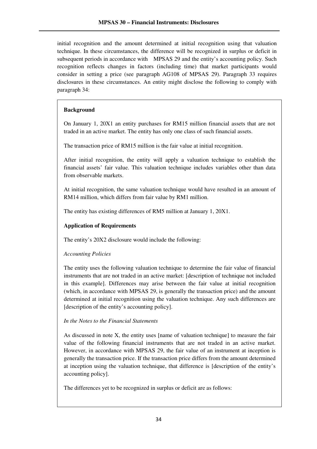initial recognition and the amount determined at initial recognition using that valuation technique. In these circumstances, the difference will be recognized in surplus or deficit in subsequent periods in accordance with MPSAS 29 and the entity's accounting policy. Such recognition reflects changes in factors (including time) that market participants would consider in setting a price (see paragraph AG108 of MPSAS 29). Paragraph 33 requires disclosures in these circumstances. An entity might disclose the following to comply with paragraph 34:

### **Background**

On January 1, 20X1 an entity purchases for RM15 million financial assets that are not traded in an active market. The entity has only one class of such financial assets.

The transaction price of RM15 million is the fair value at initial recognition.

After initial recognition, the entity will apply a valuation technique to establish the financial assets' fair value. This valuation technique includes variables other than data from observable markets.

At initial recognition, the same valuation technique would have resulted in an amount of RM14 million, which differs from fair value by RM1 million.

The entity has existing differences of RM5 million at January 1, 20X1.

### **Application of Requirements**

The entity's 20X2 disclosure would include the following:

### *Accounting Policies*

The entity uses the following valuation technique to determine the fair value of financial instruments that are not traded in an active market: [description of technique not included in this example]. Differences may arise between the fair value at initial recognition (which, in accordance with MPSAS 29, is generally the transaction price) and the amount determined at initial recognition using the valuation technique. Any such differences are [description of the entity's accounting policy].

### *In the Notes to the Financial Statements*

As discussed in note X, the entity uses [name of valuation technique] to measure the fair value of the following financial instruments that are not traded in an active market. However, in accordance with MPSAS 29, the fair value of an instrument at inception is generally the transaction price. If the transaction price differs from the amount determined at inception using the valuation technique, that difference is [description of the entity's accounting policy].

The differences yet to be recognized in surplus or deficit are as follows: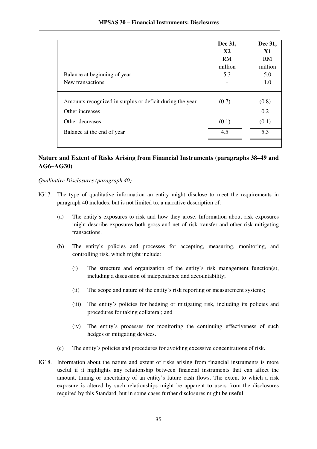|                                                          | Dec 31,  | Dec 31,             |
|----------------------------------------------------------|----------|---------------------|
|                                                          | X2<br>RM | $\mathbf{X}1$<br>RM |
|                                                          | million  | million             |
| Balance at beginning of year                             | 5.3      | 5.0                 |
| New transactions                                         |          | 1.0                 |
|                                                          |          |                     |
| Amounts recognized in surplus or deficit during the year | (0.7)    | (0.8)               |
| Other increases                                          |          | 0.2                 |
| Other decreases                                          | (0.1)    | (0.1)               |
| Balance at the end of year                               | 4.5      | 5.3                 |
|                                                          |          |                     |

# **Nature and Extent of Risks Arising from Financial Instruments (paragraphs 38–49 and AG6–AG30)**

*Qualitative Disclosures (paragraph 40)* 

- IG17. The type of qualitative information an entity might disclose to meet the requirements in paragraph 40 includes, but is not limited to, a narrative description of:
	- (a) The entity's exposures to risk and how they arose. Information about risk exposures might describe exposures both gross and net of risk transfer and other risk-mitigating transactions.
	- (b) The entity's policies and processes for accepting, measuring, monitoring, and controlling risk, which might include:
		- (i) The structure and organization of the entity's risk management function(s), including a discussion of independence and accountability;
		- (ii) The scope and nature of the entity's risk reporting or measurement systems;
		- (iii) The entity's policies for hedging or mitigating risk, including its policies and procedures for taking collateral; and
		- (iv) The entity's processes for monitoring the continuing effectiveness of such hedges or mitigating devices.
	- (c) The entity's policies and procedures for avoiding excessive concentrations of risk.
- IG18. Information about the nature and extent of risks arising from financial instruments is more useful if it highlights any relationship between financial instruments that can affect the amount, timing or uncertainty of an entity's future cash flows. The extent to which a risk exposure is altered by such relationships might be apparent to users from the disclosures required by this Standard, but in some cases further disclosures might be useful.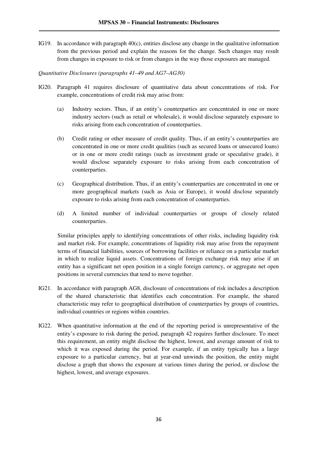IG19. In accordance with paragraph 40(c), entities disclose any change in the qualitative information from the previous period and explain the reasons for the change. Such changes may result from changes in exposure to risk or from changes in the way those exposures are managed.

### *Quantitative Disclosures (paragraphs 41–49 and AG7–AG30)*

- IG20. Paragraph 41 requires disclosure of quantitative data about concentrations of risk. For example, concentrations of credit risk may arise from:
	- (a) Industry sectors. Thus, if an entity's counterparties are concentrated in one or more industry sectors (such as retail or wholesale), it would disclose separately exposure to risks arising from each concentration of counterparties.
	- (b) Credit rating or other measure of credit quality. Thus, if an entity's counterparties are concentrated in one or more credit qualities (such as secured loans or unsecured loans) or in one or more credit ratings (such as investment grade or speculative grade), it would disclose separately exposure to risks arising from each concentration of counterparties.
	- (c) Geographical distribution. Thus, if an entity's counterparties are concentrated in one or more geographical markets (such as Asia or Europe), it would disclose separately exposure to risks arising from each concentration of counterparties.
	- (d) A limited number of individual counterparties or groups of closely related counterparties.

Similar principles apply to identifying concentrations of other risks, including liquidity risk and market risk. For example, concentrations of liquidity risk may arise from the repayment terms of financial liabilities, sources of borrowing facilities or reliance on a particular market in which to realize liquid assets. Concentrations of foreign exchange risk may arise if an entity has a significant net open position in a single foreign currency, or aggregate net open positions in several currencies that tend to move together.

- IG21. In accordance with paragraph AG8, disclosure of concentrations of risk includes a description of the shared characteristic that identifies each concentration. For example, the shared characteristic may refer to geographical distribution of counterparties by groups of countries, individual countries or regions within countries.
- IG22. When quantitative information at the end of the reporting period is unrepresentative of the entity's exposure to risk during the period, paragraph 42 requires further disclosure. To meet this requirement, an entity might disclose the highest, lowest, and average amount of risk to which it was exposed during the period. For example, if an entity typically has a large exposure to a particular currency, but at year-end unwinds the position, the entity might disclose a graph that shows the exposure at various times during the period, or disclose the highest, lowest, and average exposures.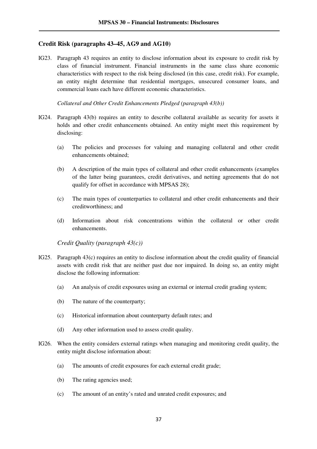# **Credit Risk (paragraphs 43–45, AG9 and AG10)**

IG23. Paragraph 43 requires an entity to disclose information about its exposure to credit risk by class of financial instrument. Financial instruments in the same class share economic characteristics with respect to the risk being disclosed (in this case, credit risk). For example, an entity might determine that residential mortgages, unsecured consumer loans, and commercial loans each have different economic characteristics.

*Collateral and Other Credit Enhancements Pledged (paragraph 43(b))* 

- IG24. Paragraph 43(b) requires an entity to describe collateral available as security for assets it holds and other credit enhancements obtained. An entity might meet this requirement by disclosing:
	- (a) The policies and processes for valuing and managing collateral and other credit enhancements obtained;
	- (b) A description of the main types of collateral and other credit enhancements (examples of the latter being guarantees, credit derivatives, and netting agreements that do not qualify for offset in accordance with MPSAS 28);
	- (c) The main types of counterparties to collateral and other credit enhancements and their creditworthiness; and
	- (d) Information about risk concentrations within the collateral or other credit enhancements.

 *Credit Quality (paragraph 43(c))* 

- IG25. Paragraph 43(c) requires an entity to disclose information about the credit quality of financial assets with credit risk that are neither past due nor impaired. In doing so, an entity might disclose the following information:
	- (a) An analysis of credit exposures using an external or internal credit grading system;
	- (b) The nature of the counterparty;
	- (c) Historical information about counterparty default rates; and
	- (d) Any other information used to assess credit quality.
- IG26. When the entity considers external ratings when managing and monitoring credit quality, the entity might disclose information about:
	- (a) The amounts of credit exposures for each external credit grade;
	- (b) The rating agencies used;
	- (c) The amount of an entity's rated and unrated credit exposures; and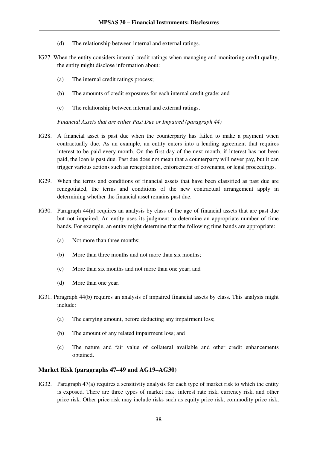- (d) The relationship between internal and external ratings.
- IG27. When the entity considers internal credit ratings when managing and monitoring credit quality, the entity might disclose information about:
	- (a) The internal credit ratings process;
	- (b) The amounts of credit exposures for each internal credit grade; and
	- (c) The relationship between internal and external ratings.

 *Financial Assets that are either Past Due or Impaired (paragraph 44)* 

- IG28. A financial asset is past due when the counterparty has failed to make a payment when contractually due. As an example, an entity enters into a lending agreement that requires interest to be paid every month. On the first day of the next month, if interest has not been paid, the loan is past due. Past due does not mean that a counterparty will never pay, but it can trigger various actions such as renegotiation, enforcement of covenants, or legal proceedings.
- IG29. When the terms and conditions of financial assets that have been classified as past due are renegotiated, the terms and conditions of the new contractual arrangement apply in determining whether the financial asset remains past due.
- IG30. Paragraph 44(a) requires an analysis by class of the age of financial assets that are past due but not impaired. An entity uses its judgment to determine an appropriate number of time bands. For example, an entity might determine that the following time bands are appropriate:
	- (a) Not more than three months;
	- (b) More than three months and not more than six months;
	- (c) More than six months and not more than one year; and
	- (d) More than one year.
- IG31. Paragraph 44(b) requires an analysis of impaired financial assets by class. This analysis might include:
	- (a) The carrying amount, before deducting any impairment loss;
	- (b) The amount of any related impairment loss; and
	- (c) The nature and fair value of collateral available and other credit enhancements obtained.

### **Market Risk (paragraphs 47–49 and AG19–AG30)**

IG32. Paragraph 47(a) requires a sensitivity analysis for each type of market risk to which the entity is exposed. There are three types of market risk: interest rate risk, currency risk, and other price risk. Other price risk may include risks such as equity price risk, commodity price risk,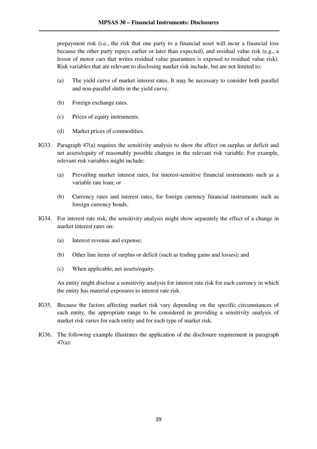prepayment risk (i.e., the risk that one party to a financial asset will incur a financial loss because the other party repays earlier or later than expected), and residual value risk (e.g., a lessor of motor cars that writes residual value guarantees is exposed to residual value risk). Risk variables that are relevant to disclosing market risk include, but are not limited to:

- (a) The yield curve of market interest rates. It may be necessary to consider both parallel and non-parallel shifts in the yield curve.
- (b) Foreign exchange rates.
- (c) Prices of equity instruments.
- (d) Market prices of commodities.
- IG33. Paragraph 47(a) requires the sensitivity analysis to show the effect on surplus or deficit and net assets/equity of reasonably possible changes in the relevant risk variable. For example, relevant risk variables might include:
	- (a) Prevailing market interest rates, for interest-sensitive financial instruments such as a variable rate loan; or
	- (b) Currency rates and interest rates, for foreign currency financial instruments such as foreign currency bonds.
- IG34. For interest rate risk, the sensitivity analysis might show separately the effect of a change in market interest rates on:
	- (a) Interest revenue and expense;
	- (b) Other line items of surplus or deficit (such as trading gains and losses); and
	- (c) When applicable, net assets/equity.

An entity might disclose a sensitivity analysis for interest rate risk for each currency in which the entity has material exposures to interest rate risk.

- IG35. Because the factors affecting market risk vary depending on the specific circumstances of each entity, the appropriate range to be considered in providing a sensitivity analysis of market risk varies for each entity and for each type of market risk.
- IG36. The following example illustrates the application of the disclosure requirement in paragraph 47(a):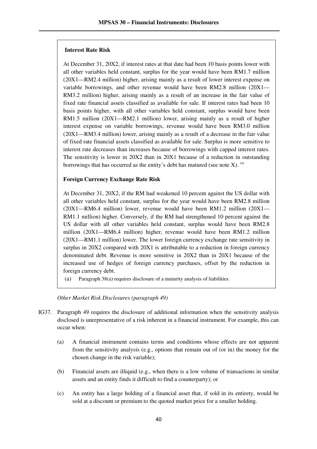### **Interest Rate Risk**

At December 31, 20X2, if interest rates at that date had been 10 basis points lower with all other variables held constant, surplus for the year would have been RM1.7 million (20X1—RM2.4 million) higher, arising mainly as a result of lower interest expense on variable borrowings, and other revenue would have been RM2.8 million (20X1— RM3.2 million) higher, arising mainly as a result of an increase in the fair value of fixed rate financial assets classified as available for sale. If interest rates had been 10 basis points higher, with all other variables held constant, surplus would have been RM1.5 million (20X1—RM2.1 million) lower, arising mainly as a result of higher interest expense on variable borrowings, revenue would have been RM3.0 million (20X1—RM3.4 million) lower, arising mainly as a result of a decrease in the fair value of fixed rate financial assets classified as available for sale. Surplus is more sensitive to interest rate decreases than increases because of borrowings with capped interest rates. The sensitivity is lower in 20X2 than in 20X1 because of a reduction in outstanding borrowings that has occurred as the entity's debt has matured (see note X).  $^{(a)}$ 

### **Foreign Currency Exchange Rate Risk**

At December 31, 20X2, if the RM had weakened 10 percent against the US dollar with all other variables held constant, surplus for the year would have been RM2.8 million  $(20X1 - RM6.4$  million) lower, revenue would have been RM1.2 million  $(20X1 - RM6.4)$ RM1.1 million) higher. Conversely, if the RM had strengthened 10 percent against the US dollar with all other variables held constant, surplus would have been RM2.8 million (20X1—RM6.4 million) higher, revenue would have been RM1.2 million (20X1—RM1.1 million) lower. The lower foreign currency exchange rate sensitivity in surplus in 20X2 compared with 20X1 is attributable to a reduction in foreign currency denominated debt. Revenue is more sensitive in 20X2 than in 20X1 because of the increased use of hedges of foreign currency purchases, offset by the reduction in foreign currency debt.

(a) Paragraph 38(a) requires disclosure of a maturity analysis of liabilities.

### *Other Market Risk Disclosures (paragraph 49)*

- IG37. Paragraph 49 requires the disclosure of additional information when the sensitivity analysis disclosed is unrepresentative of a risk inherent in a financial instrument. For example, this can occur when:
	- (a) A financial instrument contains terms and conditions whose effects are not apparent from the sensitivity analysis (e.g., options that remain out of (or in) the money for the chosen change in the risk variable);
	- (b) Financial assets are illiquid (e.g., when there is a low volume of transactions in similar assets and an entity finds it difficult to find a counterparty); or
	- (c) An entity has a large holding of a financial asset that, if sold in its entirety, would be sold at a discount or premium to the quoted market price for a smaller holding.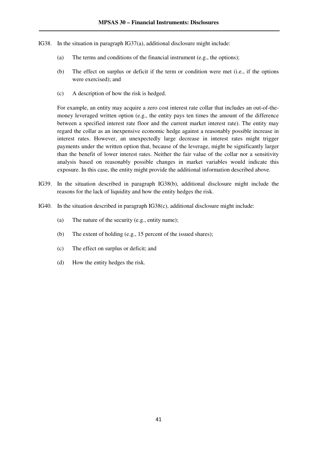- IG38. In the situation in paragraph IG37(a), additional disclosure might include:
	- (a) The terms and conditions of the financial instrument (e.g., the options);
	- (b) The effect on surplus or deficit if the term or condition were met (i.e., if the options were exercised); and
	- (c) A description of how the risk is hedged.

For example, an entity may acquire a zero cost interest rate collar that includes an out-of-themoney leveraged written option (e.g., the entity pays ten times the amount of the difference between a specified interest rate floor and the current market interest rate). The entity may regard the collar as an inexpensive economic hedge against a reasonably possible increase in interest rates. However, an unexpectedly large decrease in interest rates might trigger payments under the written option that, because of the leverage, might be significantly larger than the benefit of lower interest rates. Neither the fair value of the collar nor a sensitivity analysis based on reasonably possible changes in market variables would indicate this exposure. In this case, the entity might provide the additional information described above.

- IG39. In the situation described in paragraph IG38(b), additional disclosure might include the reasons for the lack of liquidity and how the entity hedges the risk.
- IG40. In the situation described in paragraph IG38(c), additional disclosure might include:
	- (a) The nature of the security (e.g., entity name);
	- (b) The extent of holding (e.g., 15 percent of the issued shares);
	- (c) The effect on surplus or deficit; and
	- (d) How the entity hedges the risk.